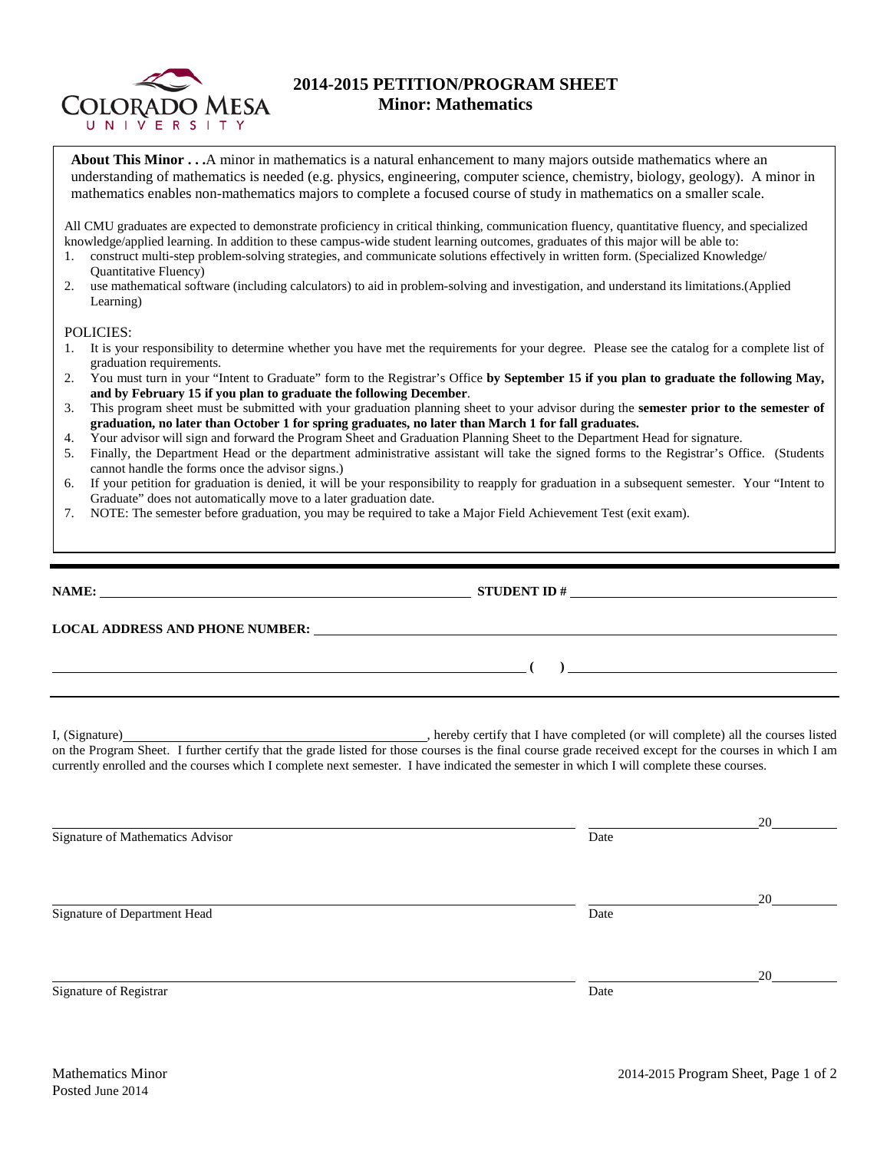

## **2014-2015 PETITION/PROGRAM SHEET Minor: Mathematics**

**About This Minor . . .**A minor in mathematics is a natural enhancement to many majors outside mathematics where an understanding of mathematics is needed (e.g. physics, engineering, computer science, chemistry, biology, geology). A minor in mathematics enables non-mathematics majors to complete a focused course of study in mathematics on a smaller scale.

All CMU graduates are expected to demonstrate proficiency in critical thinking, communication fluency, quantitative fluency, and specialized knowledge/applied learning. In addition to these campus-wide student learning outcomes, graduates of this major will be able to:

- 1. construct multi-step problem-solving strategies, and communicate solutions effectively in written form. (Specialized Knowledge/ Quantitative Fluency)
- 2. use mathematical software (including calculators) to aid in problem-solving and investigation, and understand its limitations.(Applied Learning)

## POLICIES:

- 1. It is your responsibility to determine whether you have met the requirements for your degree. Please see the catalog for a complete list of graduation requirements.
- 2. You must turn in your "Intent to Graduate" form to the Registrar's Office **by September 15 if you plan to graduate the following May, and by February 15 if you plan to graduate the following December**.
- 3. This program sheet must be submitted with your graduation planning sheet to your advisor during the **semester prior to the semester of graduation, no later than October 1 for spring graduates, no later than March 1 for fall graduates.**
- 4. Your advisor will sign and forward the Program Sheet and Graduation Planning Sheet to the Department Head for signature.
- 5. Finally, the Department Head or the department administrative assistant will take the signed forms to the Registrar's Office. (Students cannot handle the forms once the advisor signs.)
- 6. If your petition for graduation is denied, it will be your responsibility to reapply for graduation in a subsequent semester. Your "Intent to Graduate" does not automatically move to a later graduation date.
- 7. NOTE: The semester before graduation, you may be required to take a Major Field Achievement Test (exit exam).

| <u> 1989 - Johann Stoff, deutscher Stoffen und der Stoffen und der Stoffen und der Stoffen und der Stoffen und der</u> |                                                                                                                                                                                                                                                                                                     |    |  |  |  |  |  |  |
|------------------------------------------------------------------------------------------------------------------------|-----------------------------------------------------------------------------------------------------------------------------------------------------------------------------------------------------------------------------------------------------------------------------------------------------|----|--|--|--|--|--|--|
|                                                                                                                        | on the Program Sheet. I further certify that the grade listed for those courses is the final course grade received except for the courses in which I am<br>currently enrolled and the courses which I complete next semester. I have indicated the semester in which I will complete these courses. |    |  |  |  |  |  |  |
| Signature of Mathematics Advisor                                                                                       | Date                                                                                                                                                                                                                                                                                                | 20 |  |  |  |  |  |  |
| Signature of Department Head                                                                                           | Date                                                                                                                                                                                                                                                                                                | 20 |  |  |  |  |  |  |

Signature of Registrar Date and Separature of Registrar Date and Separature of Registrar Date

20